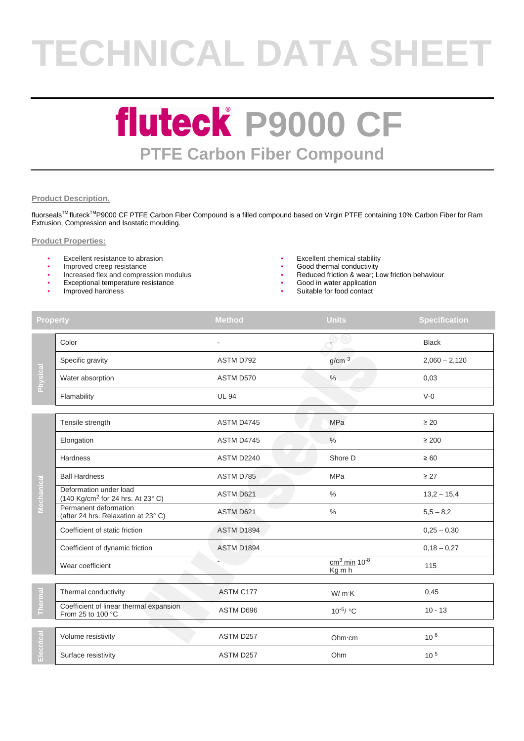# **TECHNICAL DATA SHEET**

### **fluteck P9000 CF PTFE Carbon Fiber Compound**

#### **Product Description.**

fluorseals™ fluteck<sup>™</sup>P9000 CF PTFE Carbon Fiber Compound is a filled compound based on Virgin PTFE containing 10% Carbon Fiber for Ram Extrusion, Compression and Isostatic moulding.

#### **Product Properties:**

- Excellent resistance to abrasion **•** Excellent chemical stability **•** Excellent chemical stability **•** Cood thermal conductivity
- 
- Improved creep resistance<br>• Increased flex and compression modulus
- Exceptional temperature resistance
- Improved hardness
- 
- 
- Reduced friction & wear; Low friction behaviour
- Good in water application
- Suitable for food contact

| <b>Property</b> |                                                                         | <b>Method</b>     | <b>Units</b>                           | <b>Specification</b> |
|-----------------|-------------------------------------------------------------------------|-------------------|----------------------------------------|----------------------|
| Physical        | Color                                                                   |                   |                                        | <b>Black</b>         |
|                 | Specific gravity                                                        | ASTM D792         | g/cm <sup>3</sup>                      | $2,060 - 2,120$      |
|                 | Water absorption                                                        | ASTM D570         | $\%$                                   | 0,03                 |
|                 | Flamability                                                             | <b>UL 94</b>      |                                        | $V-0$                |
|                 |                                                                         |                   |                                        |                      |
| Mechanical      | Tensile strength                                                        | ASTM D4745        | <b>MPa</b>                             | $\geq 20$            |
|                 | Elongation                                                              | ASTM D4745        | $\%$                                   | $\geq 200$           |
|                 | Hardness                                                                | ASTM D2240        | Shore D                                | $\geq 60$            |
|                 | <b>Ball Hardness</b>                                                    | ASTM D785         | <b>MPa</b>                             | $\geq$ 27            |
|                 | Deformation under load<br>(140 Kg/cm <sup>2</sup> for 24 hrs. At 23° C) | ASTM D621         | $\%$                                   | $13,2 - 15,4$        |
|                 | Permanent deformation<br>(after 24 hrs. Relaxation at 23° C)            | ASTM D621         | $\%$                                   | $5,5 - 8,2$          |
|                 | Coefficient of static friction                                          | ASTM D1894        |                                        | $0,25 - 0,30$        |
|                 | Coefficient of dynamic friction                                         | <b>ASTM D1894</b> |                                        | $0,18 - 0,27$        |
|                 | Wear coefficient                                                        |                   | $cm3$ min 10 <sup>-8</sup><br>$Kg$ m h | 115                  |
|                 |                                                                         |                   |                                        |                      |
|                 | Thermal conductivity                                                    | ASTM C177         | W/mK                                   | 0,45                 |
|                 | Coefficient of linear thermal expansion<br>From 25 to 100 °C            | ASTM D696         | $10^{-5}$ / °C                         | $10 - 13$            |
|                 |                                                                         |                   |                                        |                      |
| Electrical      | Volume resistivity                                                      | ASTM D257         | Ohm·cm                                 | $10^{6}$             |
|                 | Surface resistivity                                                     | ASTM D257         | Ohm                                    | $10^{5}$             |